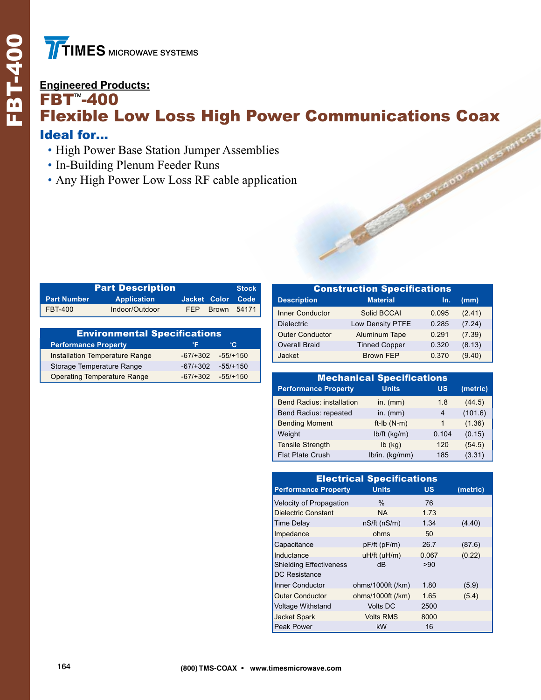## **FRIMES MICROWAN**<br> **Engineered Products:**<br> **FBT<sup>m</sup>-400**<br> **FIEXIble Low**  $FBT^{\sim}-400$ Flexible Low Loss High Power Communications Coax Ideal for…

- High Power Base Station Jumper Assemblies
- In-Building Plenum Feeder Runs
- Any High Power Low Loss RF cable application

| <b>Part Description</b><br><b>Stock</b>          |                                     |              |                |                        | <b>Construction Specification:</b> |                                  |       |  |
|--------------------------------------------------|-------------------------------------|--------------|----------------|------------------------|------------------------------------|----------------------------------|-------|--|
| <b>Part Number</b>                               | <b>Application</b>                  | Jacket Color | Code           |                        | <b>Description</b>                 | <b>Material</b>                  | Ir    |  |
| <b>FBT-400</b>                                   | Indoor/Outdoor                      | FEP          | Brown<br>54171 |                        | <b>Inner Conductor</b>             | Solid BCCAI                      | 0.095 |  |
|                                                  |                                     |              |                |                        | <b>Dielectric</b>                  | Low Density PTFE                 | 0.285 |  |
|                                                  | <b>Environmental Specifications</b> |              |                | <b>Outer Conductor</b> | Aluminum Tape                      | 0.29'                            |       |  |
| <b>Performance Property</b>                      |                                     | °F           | °C.            |                        | <b>Overall Braid</b>               | <b>Tinned Copper</b>             | 0.320 |  |
|                                                  | Installation Temperature Range      | $-67/+302$   | $-55/+150$     |                        | Jacket                             | <b>Brown FEP</b>                 | 0.370 |  |
| Storage Temperature Range<br>$-67/+302$          |                                     |              | $-55/+150$     |                        |                                    |                                  |       |  |
| <b>Operating Temperature Range</b><br>$-67/+302$ |                                     |              | $-55/+150$     |                        |                                    | <b>Mechanical Specifications</b> |       |  |

| <b>Construction Specifications</b> |                      |       |        |  |  |  |
|------------------------------------|----------------------|-------|--------|--|--|--|
| <b>Description</b>                 | <b>Material</b>      | In.   | (mm)   |  |  |  |
| <b>Inner Conductor</b>             | Solid BCCAI          | 0.095 | (2.41) |  |  |  |
| <b>Dielectric</b>                  | Low Density PTFE     | 0.285 | (7.24) |  |  |  |
| <b>Outer Conductor</b>             | Aluminum Tape        | 0.291 | (7.39) |  |  |  |
| <b>Overall Braid</b>               | <b>Tinned Copper</b> | 0.320 | (8.13) |  |  |  |
| Jacket                             | <b>Brown FEP</b>     | 0.370 | (9.40) |  |  |  |

| <b>Mechanical Specifications</b> |                |       |          |  |  |  |
|----------------------------------|----------------|-------|----------|--|--|--|
| <b>Performance Property</b>      | <b>Units</b>   | US    | (metric) |  |  |  |
| <b>Bend Radius: installation</b> | in. $(mm)$     | 1.8   | (44.5)   |  |  |  |
| Bend Radius: repeated            | in. $(mm)$     | 4     | (101.6)  |  |  |  |
| <b>Bending Moment</b>            | $ft-lb(N-m)$   | 1     | (1.36)   |  |  |  |
| Weight                           | $lb/ft$ (kg/m) | 0.104 | (0.15)   |  |  |  |
| <b>Tensile Strength</b>          | $lb$ (kg)      | 120   | (54.5)   |  |  |  |
| <b>Flat Plate Crush</b>          | lb/in. (kg/mm) | 185   | (3.31)   |  |  |  |

| <b>Electrical Specifications</b> |                   |           |          |  |  |  |  |
|----------------------------------|-------------------|-----------|----------|--|--|--|--|
| <b>Performance Property</b>      | <b>Units</b>      | <b>US</b> | (metric) |  |  |  |  |
| Velocity of Propagation          | $\%$              | 76        |          |  |  |  |  |
| <b>Dielectric Constant</b>       | NA.               | 1.73      |          |  |  |  |  |
| <b>Time Delay</b>                | nS/ft(nS/m)       | 1.34      | (4.40)   |  |  |  |  |
| Impedance                        | ohms              | 50        |          |  |  |  |  |
| Capacitance                      | pF/ft (pF/m)      | 26.7      | (87.6)   |  |  |  |  |
| Inductance                       | uH/ft (uH/m)      | 0.067     | (0.22)   |  |  |  |  |
| <b>Shielding Effectiveness</b>   | dB                | >90       |          |  |  |  |  |
| <b>DC Resistance</b>             |                   |           |          |  |  |  |  |
| Inner Conductor                  | ohms/1000ft (/km) | 1.80      | (5.9)    |  |  |  |  |
| <b>Outer Conductor</b>           | ohms/1000ft (/km) | 1.65      | (5.4)    |  |  |  |  |
| <b>Voltage Withstand</b>         | <b>Volts DC</b>   | 2500      |          |  |  |  |  |
| <b>Jacket Spark</b>              | <b>Volts RMS</b>  | 8000      |          |  |  |  |  |
| Peak Power                       | kW                | 16        |          |  |  |  |  |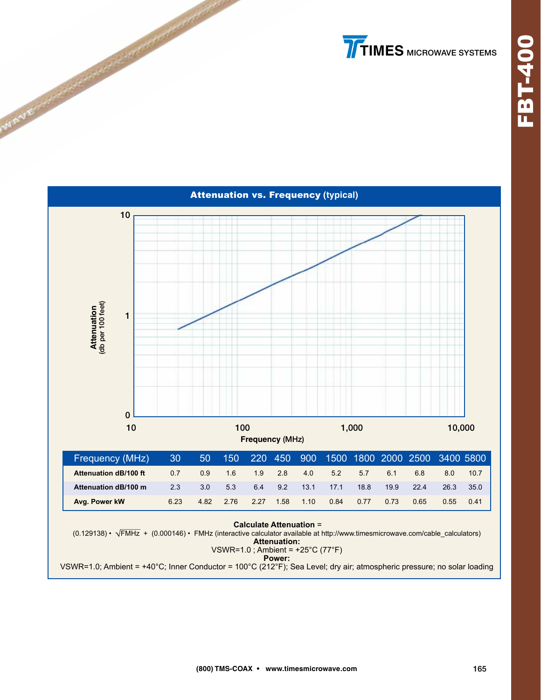# **TIMES** MICROWAVE SYSTEMS



VSWR=1.0; Ambient = +40°C; Inner Conductor = 100°C (212°F); Sea Level; dry air; atmospheric pressure; no solar loading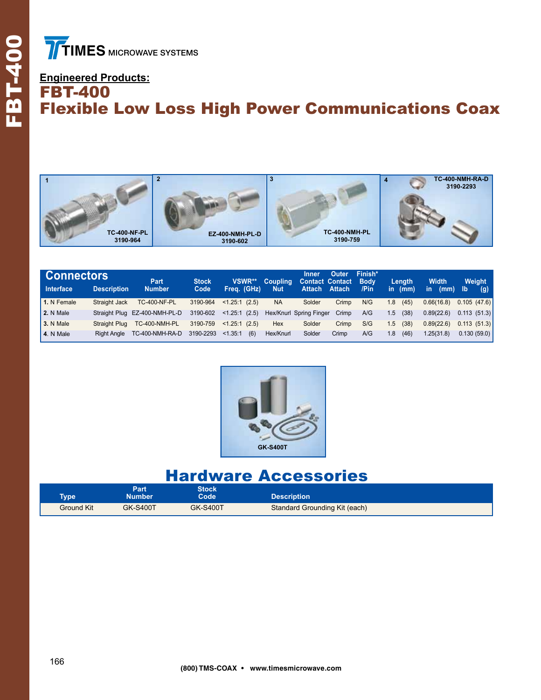Ī

#### **Engineered Products:** FBT-400 Flexible Low Loss High Power Communications Coax



| <b>Connectors</b> |                    | Part.                         | <b>Stock</b> | VSWR**           | <b>Coupling</b> | Inner<br><b>Contact Contact</b> | Outer | Finish*<br><b>Body</b> |     | Lenath    | <b>Width</b> | Weight       |
|-------------------|--------------------|-------------------------------|--------------|------------------|-----------------|---------------------------------|-------|------------------------|-----|-----------|--------------|--------------|
| Interface         | <b>Description</b> | <b>Number</b>                 | Code         | Frea. (GHz)      | <b>Nut</b>      | Attach Attach                   |       | /Pin                   |     | in $(mm)$ | in.<br>(mm)  | / Ib/<br>(q) |
| 1. N Female       | Straight Jack      | <b>TC-400-NF-PL</b>           | 3190-964     | $< 1.25:1$ (2.5) | <b>NA</b>       | Solder                          | Crimp | N/G                    | 1.8 | (45)      | 0.66(16.8)   | 0.105(47.6)  |
| 2. N Male         |                    | Straight Plug EZ-400-NMH-PL-D | 3190-602     | $< 1.25:1$ (2.5) |                 | Hex/Knurl Spring Finger         | Crimp | A/G                    | 1.5 | (38)      | 0.89(22.6)   | 0.113(51.3)  |
| 3. N Male         | Straight Plug      | TC-400-NMH-PL                 | 3190-759     | $< 1.25:1$ (2.5) | Hex             | Solder                          | Crimp | S/G                    | 1.5 | (38)      | 0.89(22.6)   | 0.113(51.3)  |
| $\vert$ 4. N Male | <b>Right Angle</b> | TC-400-NMH-RA-D               | 3190-2293    | < 1.35:1<br>(6)  | Hex/Knurl       | Solder                          | Crimp | A/G                    | 1.8 | (46)      | 1.25(31.8)   | 0.130(59.0)  |



## Hardware Accessories

| <b>Type</b> | Part<br><b>Number</b> | Stock<br>Code   | <b>Description</b>            |  |
|-------------|-----------------------|-----------------|-------------------------------|--|
| Ground Kit  | <b>GK-S400T</b>       | <b>GK-S400T</b> | Standard Grounding Kit (each) |  |